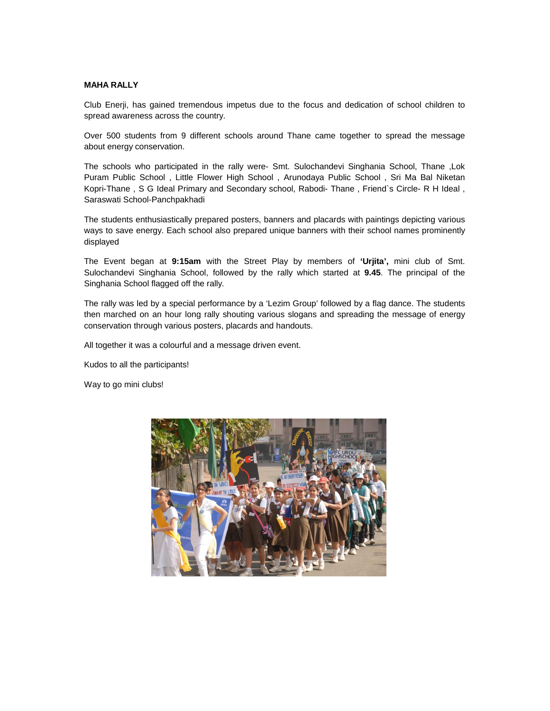## **MAHA RALLY**

Club Enerji, has gained tremendous impetus due to the focus and dedication of school children to spread awareness across the country.

Over 500 students from 9 different schools around Thane came together to spread the message about energy conservation.

The schools who participated in the rally were- Smt. Sulochandevi Singhania School, Thane ,Lok Puram Public School , Little Flower High School , Arunodaya Public School , Sri Ma Bal Niketan Kopri-Thane , S G Ideal Primary and Secondary school, Rabodi- Thane , Friend`s Circle- R H Ideal , Saraswati School-Panchpakhadi

The students enthusiastically prepared posters, banners and placards with paintings depicting various ways to save energy. Each school also prepared unique banners with their school names prominently displayed

The Event began at **9:15am** with the Street Play by members of **'Urjita',** mini club of Smt. Sulochandevi Singhania School, followed by the rally which started at **9.45**. The principal of the Singhania School flagged off the rally.

The rally was led by a special performance by a 'Lezim Group' followed by a flag dance. The students then marched on an hour long rally shouting various slogans and spreading the message of energy conservation through various posters, placards and handouts.

All together it was a colourful and a message driven event.

Kudos to all the participants!

Way to go mini clubs!